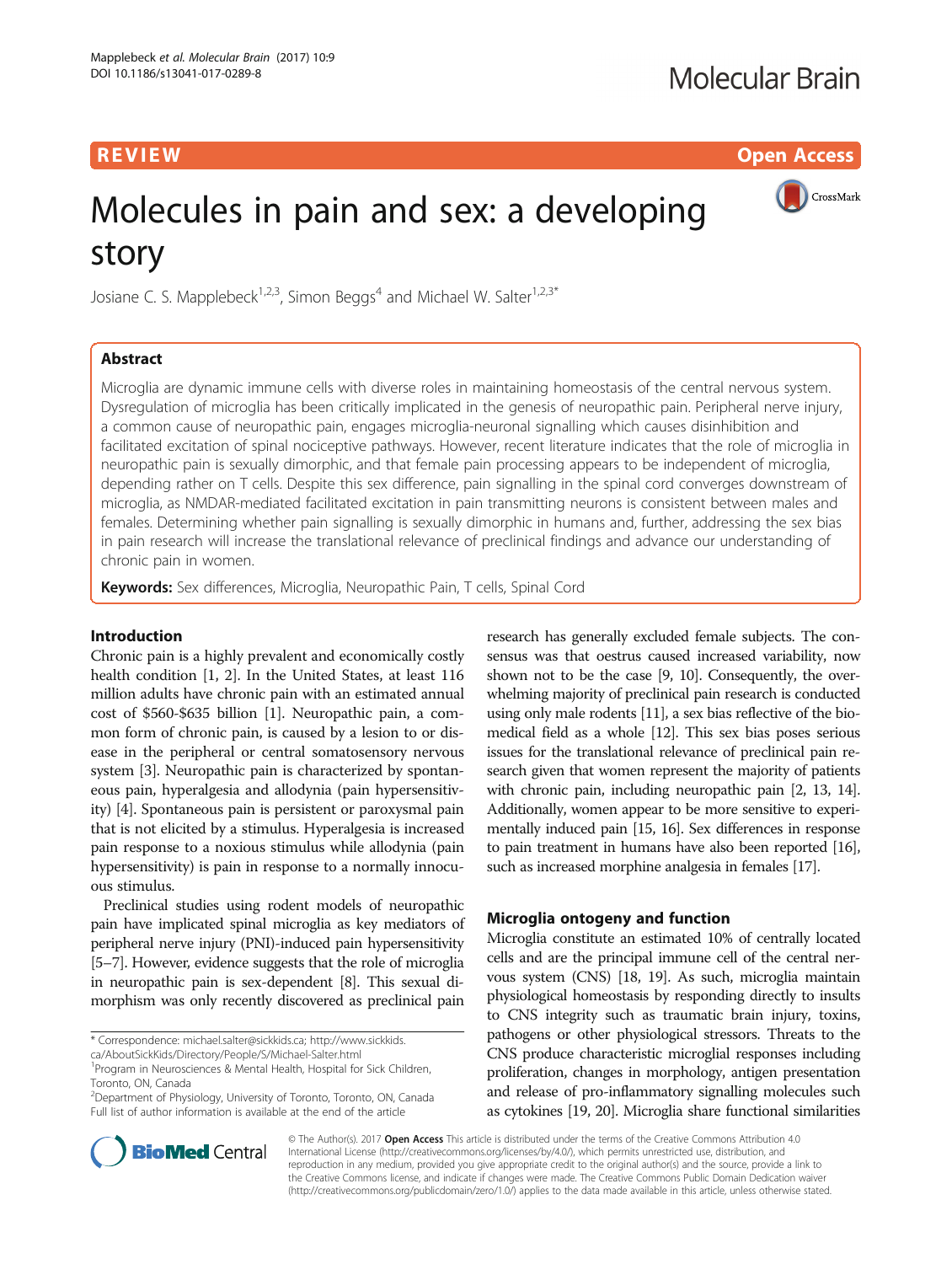**REVIEW ACCESS AND LOCAL CONTRACT CONTRACT OF ACCESS** 

CrossMark

# Molecules in pain and sex: a developing story

Josiane C. S. Mapplebeck<sup>1,2,3</sup>, Simon Beggs<sup>4</sup> and Michael W. Salter<sup>1,2,3\*</sup>

# Abstract

Microglia are dynamic immune cells with diverse roles in maintaining homeostasis of the central nervous system. Dysregulation of microglia has been critically implicated in the genesis of neuropathic pain. Peripheral nerve injury, a common cause of neuropathic pain, engages microglia-neuronal signalling which causes disinhibition and facilitated excitation of spinal nociceptive pathways. However, recent literature indicates that the role of microglia in neuropathic pain is sexually dimorphic, and that female pain processing appears to be independent of microglia, depending rather on T cells. Despite this sex difference, pain signalling in the spinal cord converges downstream of microglia, as NMDAR-mediated facilitated excitation in pain transmitting neurons is consistent between males and females. Determining whether pain signalling is sexually dimorphic in humans and, further, addressing the sex bias in pain research will increase the translational relevance of preclinical findings and advance our understanding of chronic pain in women.

Keywords: Sex differences, Microglia, Neuropathic Pain, T cells, Spinal Cord

# Introduction

Chronic pain is a highly prevalent and economically costly health condition [\[1, 2](#page-5-0)]. In the United States, at least 116 million adults have chronic pain with an estimated annual cost of \$560-\$635 billion [\[1](#page-5-0)]. Neuropathic pain, a common form of chronic pain, is caused by a lesion to or disease in the peripheral or central somatosensory nervous system [\[3](#page-5-0)]. Neuropathic pain is characterized by spontaneous pain, hyperalgesia and allodynia (pain hypersensitivity) [[4](#page-5-0)]. Spontaneous pain is persistent or paroxysmal pain that is not elicited by a stimulus. Hyperalgesia is increased pain response to a noxious stimulus while allodynia (pain hypersensitivity) is pain in response to a normally innocuous stimulus.

Preclinical studies using rodent models of neuropathic pain have implicated spinal microglia as key mediators of peripheral nerve injury (PNI)-induced pain hypersensitivity [[5](#page-5-0)–[7\]](#page-5-0). However, evidence suggests that the role of microglia in neuropathic pain is sex-dependent [\[8](#page-5-0)]. This sexual dimorphism was only recently discovered as preclinical pain

<sup>2</sup>Department of Physiology, University of Toronto, Toronto, ON, Canada Full list of author information is available at the end of the article

research has generally excluded female subjects. The consensus was that oestrus caused increased variability, now shown not to be the case [\[9](#page-5-0), [10](#page-6-0)]. Consequently, the overwhelming majority of preclinical pain research is conducted using only male rodents [[11](#page-6-0)], a sex bias reflective of the biomedical field as a whole [\[12\]](#page-6-0). This sex bias poses serious issues for the translational relevance of preclinical pain research given that women represent the majority of patients with chronic pain, including neuropathic pain [[2,](#page-5-0) [13, 14](#page-6-0)]. Additionally, women appear to be more sensitive to experimentally induced pain [\[15](#page-6-0), [16\]](#page-6-0). Sex differences in response to pain treatment in humans have also been reported [\[16](#page-6-0)], such as increased morphine analgesia in females [\[17](#page-6-0)].

# Microglia ontogeny and function

Microglia constitute an estimated 10% of centrally located cells and are the principal immune cell of the central nervous system (CNS) [[18](#page-6-0), [19\]](#page-6-0). As such, microglia maintain physiological homeostasis by responding directly to insults to CNS integrity such as traumatic brain injury, toxins, pathogens or other physiological stressors. Threats to the CNS produce characteristic microglial responses including proliferation, changes in morphology, antigen presentation and release of pro-inflammatory signalling molecules such as cytokines [\[19, 20](#page-6-0)]. Microglia share functional similarities



© The Author(s). 2017 Open Access This article is distributed under the terms of the Creative Commons Attribution 4.0 International License [\(http://creativecommons.org/licenses/by/4.0/](http://creativecommons.org/licenses/by/4.0/)), which permits unrestricted use, distribution, and reproduction in any medium, provided you give appropriate credit to the original author(s) and the source, provide a link to the Creative Commons license, and indicate if changes were made. The Creative Commons Public Domain Dedication waiver [\(http://creativecommons.org/publicdomain/zero/1.0/](http://creativecommons.org/publicdomain/zero/1.0/)) applies to the data made available in this article, unless otherwise stated.

<sup>\*</sup> Correspondence: [michael.salter@sickkids.ca](mailto:michael.salter@sickkids.ca); [http://www.sickkids.](http://www.sickkids.ca/AboutSickKids/Directory/People/S/Michael-Salter.html)

[ca/AboutSickKids/Directory/People/S/Michael-Salter.html](http://www.sickkids.ca/AboutSickKids/Directory/People/S/Michael-Salter.html)

<sup>&</sup>lt;sup>1</sup> Program in Neurosciences & Mental Health, Hospital for Sick Children, Toronto, ON, Canada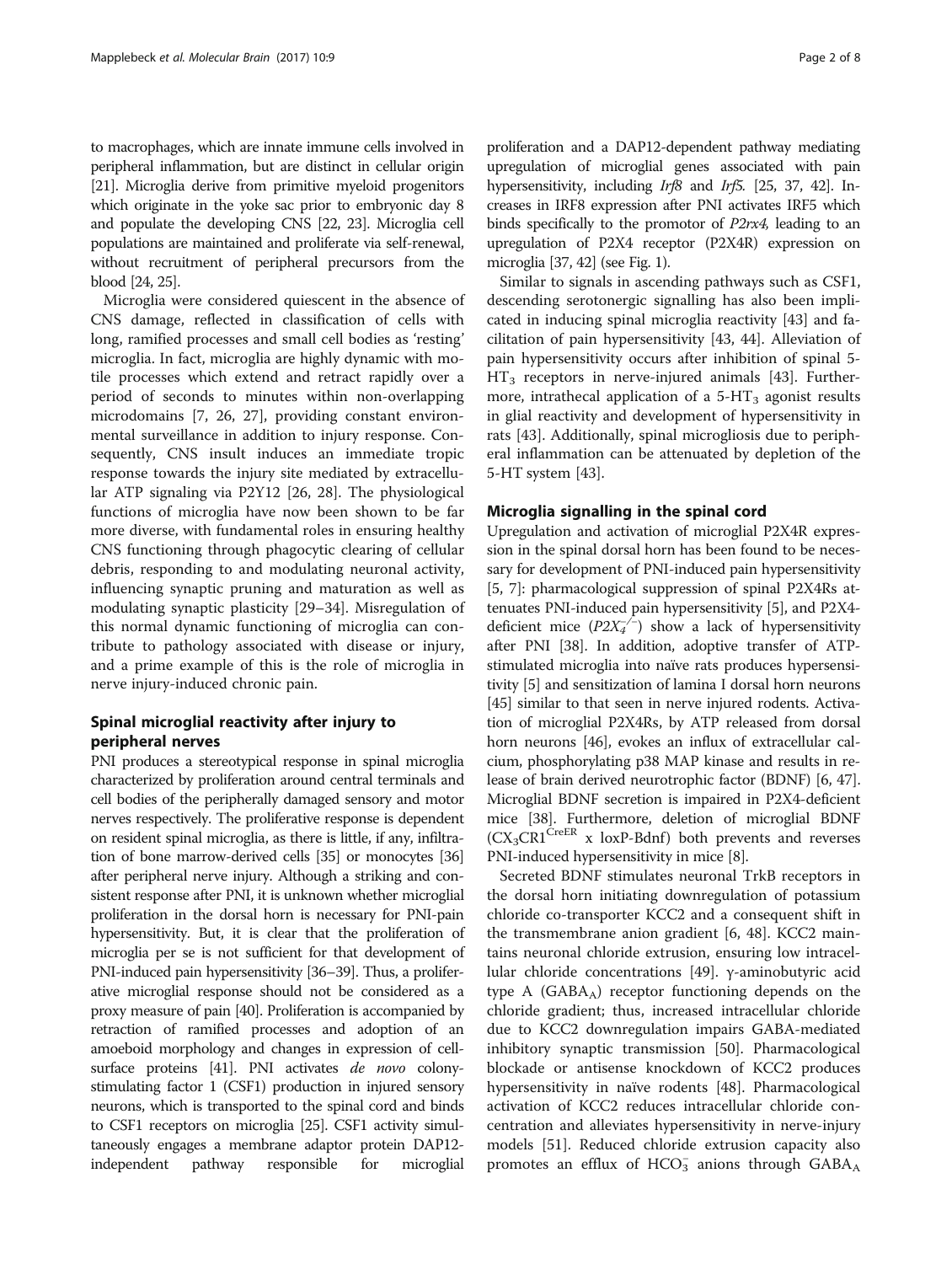to macrophages, which are innate immune cells involved in peripheral inflammation, but are distinct in cellular origin [[21](#page-6-0)]. Microglia derive from primitive myeloid progenitors which originate in the yoke sac prior to embryonic day 8 and populate the developing CNS [[22](#page-6-0), [23\]](#page-6-0). Microglia cell populations are maintained and proliferate via self-renewal, without recruitment of peripheral precursors from the blood [\[24, 25\]](#page-6-0).

Microglia were considered quiescent in the absence of CNS damage, reflected in classification of cells with long, ramified processes and small cell bodies as 'resting' microglia. In fact, microglia are highly dynamic with motile processes which extend and retract rapidly over a period of seconds to minutes within non-overlapping microdomains [\[7](#page-5-0), [26](#page-6-0), [27](#page-6-0)], providing constant environmental surveillance in addition to injury response. Consequently, CNS insult induces an immediate tropic response towards the injury site mediated by extracellular ATP signaling via P2Y12 [[26, 28](#page-6-0)]. The physiological functions of microglia have now been shown to be far more diverse, with fundamental roles in ensuring healthy CNS functioning through phagocytic clearing of cellular debris, responding to and modulating neuronal activity, influencing synaptic pruning and maturation as well as modulating synaptic plasticity [\[29](#page-6-0)–[34\]](#page-6-0). Misregulation of this normal dynamic functioning of microglia can contribute to pathology associated with disease or injury, and a prime example of this is the role of microglia in nerve injury-induced chronic pain.

# Spinal microglial reactivity after injury to peripheral nerves

PNI produces a stereotypical response in spinal microglia characterized by proliferation around central terminals and cell bodies of the peripherally damaged sensory and motor nerves respectively. The proliferative response is dependent on resident spinal microglia, as there is little, if any, infiltration of bone marrow-derived cells [[35](#page-6-0)] or monocytes [\[36](#page-6-0)] after peripheral nerve injury. Although a striking and consistent response after PNI, it is unknown whether microglial proliferation in the dorsal horn is necessary for PNI-pain hypersensitivity. But, it is clear that the proliferation of microglia per se is not sufficient for that development of PNI-induced pain hypersensitivity [[36](#page-6-0)–[39](#page-6-0)]. Thus, a proliferative microglial response should not be considered as a proxy measure of pain [\[40](#page-6-0)]. Proliferation is accompanied by retraction of ramified processes and adoption of an amoeboid morphology and changes in expression of cell-surface proteins [[41](#page-6-0)]. PNI activates de novo colonystimulating factor 1 (CSF1) production in injured sensory neurons, which is transported to the spinal cord and binds to CSF1 receptors on microglia [[25](#page-6-0)]. CSF1 activity simultaneously engages a membrane adaptor protein DAP12 independent pathway responsible for microglial

proliferation and a DAP12-dependent pathway mediating upregulation of microglial genes associated with pain hypersensitivity, including *Irf8* and *Irf5*. [[25](#page-6-0), [37](#page-6-0), [42\]](#page-6-0). Increases in IRF8 expression after PNI activates IRF5 which binds specifically to the promotor of P2rx4, leading to an upregulation of P2X4 receptor (P2X4R) expression on microglia [[37](#page-6-0), [42](#page-6-0)] (see Fig. [1\)](#page-2-0).

Similar to signals in ascending pathways such as CSF1, descending serotonergic signalling has also been implicated in inducing spinal microglia reactivity [[43\]](#page-6-0) and facilitation of pain hypersensitivity [[43, 44](#page-6-0)]. Alleviation of pain hypersensitivity occurs after inhibition of spinal 5-  $HT_3$  receptors in nerve-injured animals [\[43](#page-6-0)]. Furthermore, intrathecal application of a  $5-HT_3$  agonist results in glial reactivity and development of hypersensitivity in rats [\[43](#page-6-0)]. Additionally, spinal microgliosis due to peripheral inflammation can be attenuated by depletion of the 5-HT system [\[43](#page-6-0)].

# Microglia signalling in the spinal cord

Upregulation and activation of microglial P2X4R expression in the spinal dorsal horn has been found to be necessary for development of PNI-induced pain hypersensitivity [[5, 7](#page-5-0)]: pharmacological suppression of spinal P2X4Rs attenuates PNI-induced pain hypersensitivity [[5\]](#page-5-0), and P2X4 deficient mice  $(P2X_4^{-/-})$  show a lack of hypersensitivity after PNI [\[38\]](#page-6-0). In addition, adoptive transfer of ATPstimulated microglia into naïve rats produces hypersensitivity [\[5](#page-5-0)] and sensitization of lamina I dorsal horn neurons [[45](#page-6-0)] similar to that seen in nerve injured rodents. Activation of microglial P2X4Rs, by ATP released from dorsal horn neurons [[46](#page-6-0)], evokes an influx of extracellular calcium, phosphorylating p38 MAP kinase and results in release of brain derived neurotrophic factor (BDNF) [[6,](#page-5-0) [47](#page-6-0)]. Microglial BDNF secretion is impaired in P2X4-deficient mice [\[38](#page-6-0)]. Furthermore, deletion of microglial BDNF  $(CX_3CR1^{CreER} \times \text{loxP-Bdnf})$  both prevents and reverses PNI-induced hypersensitivity in mice [[8](#page-5-0)].

Secreted BDNF stimulates neuronal TrkB receptors in the dorsal horn initiating downregulation of potassium chloride co-transporter KCC2 and a consequent shift in the transmembrane anion gradient [\[6](#page-5-0), [48](#page-6-0)]. KCC2 maintains neuronal chloride extrusion, ensuring low intracellular chloride concentrations [[49](#page-6-0)]. γ-aminobutyric acid type A (GABAA) receptor functioning depends on the chloride gradient; thus, increased intracellular chloride due to KCC2 downregulation impairs GABA-mediated inhibitory synaptic transmission [\[50](#page-6-0)]. Pharmacological blockade or antisense knockdown of KCC2 produces hypersensitivity in naïve rodents [\[48](#page-6-0)]. Pharmacological activation of KCC2 reduces intracellular chloride concentration and alleviates hypersensitivity in nerve-injury models [\[51](#page-6-0)]. Reduced chloride extrusion capacity also promotes an efflux of HCO<sub>3</sub> anions through GABA<sub>A</sub>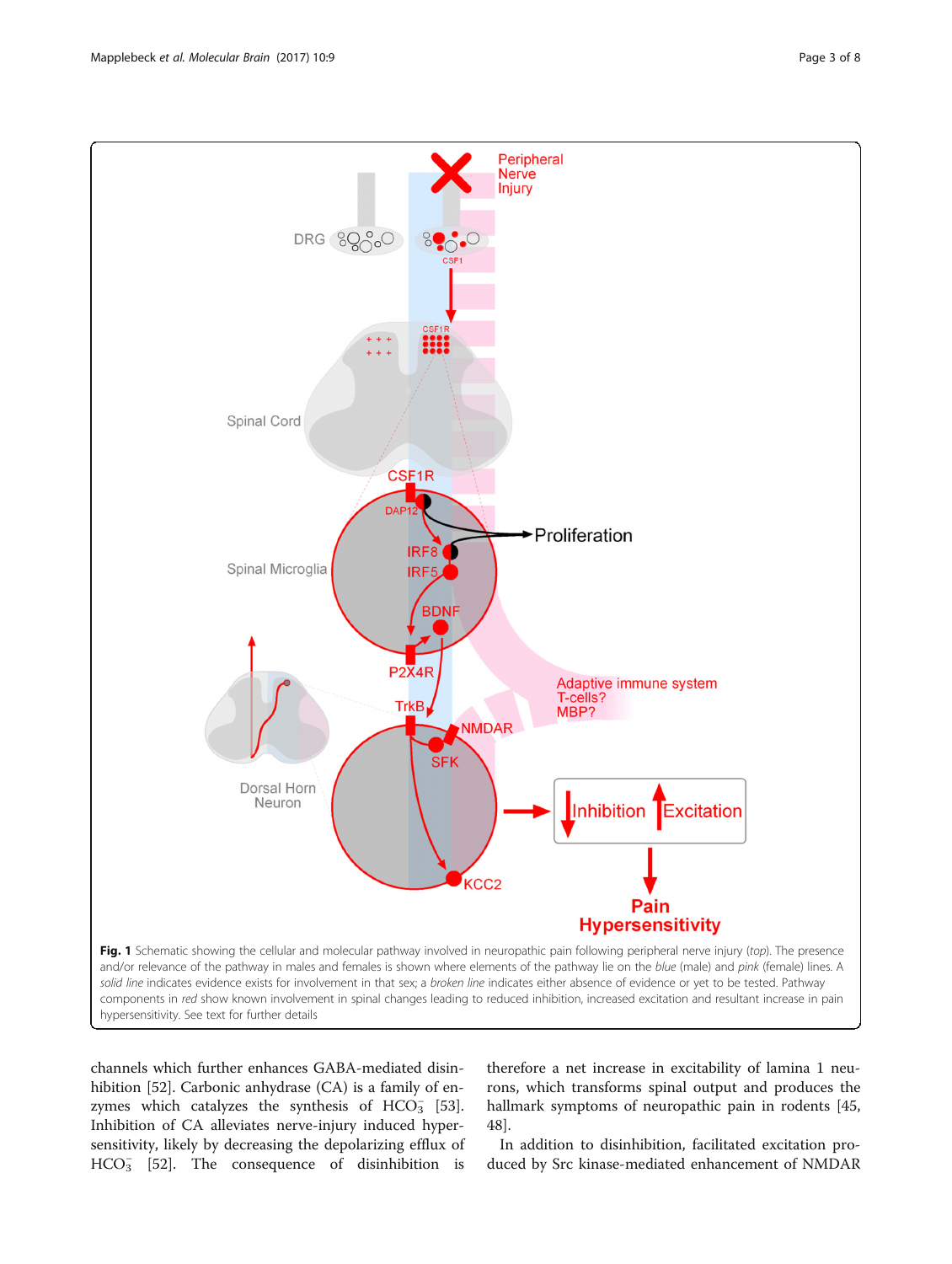<span id="page-2-0"></span>

channels which further enhances GABA-mediated disinhibition [[52\]](#page-6-0). Carbonic anhydrase (CA) is a family of enzymes which catalyzes the synthesis of  $HCO_3^-$  [\[53](#page-6-0)]. Inhibition of CA alleviates nerve-injury induced hypersensitivity, likely by decreasing the depolarizing efflux of  $HCO<sub>3</sub>$  [\[52](#page-6-0)]. The consequence of disinhibition is

therefore a net increase in excitability of lamina 1 neurons, which transforms spinal output and produces the hallmark symptoms of neuropathic pain in rodents [[45](#page-6-0), [48\]](#page-6-0).

In addition to disinhibition, facilitated excitation produced by Src kinase-mediated enhancement of NMDAR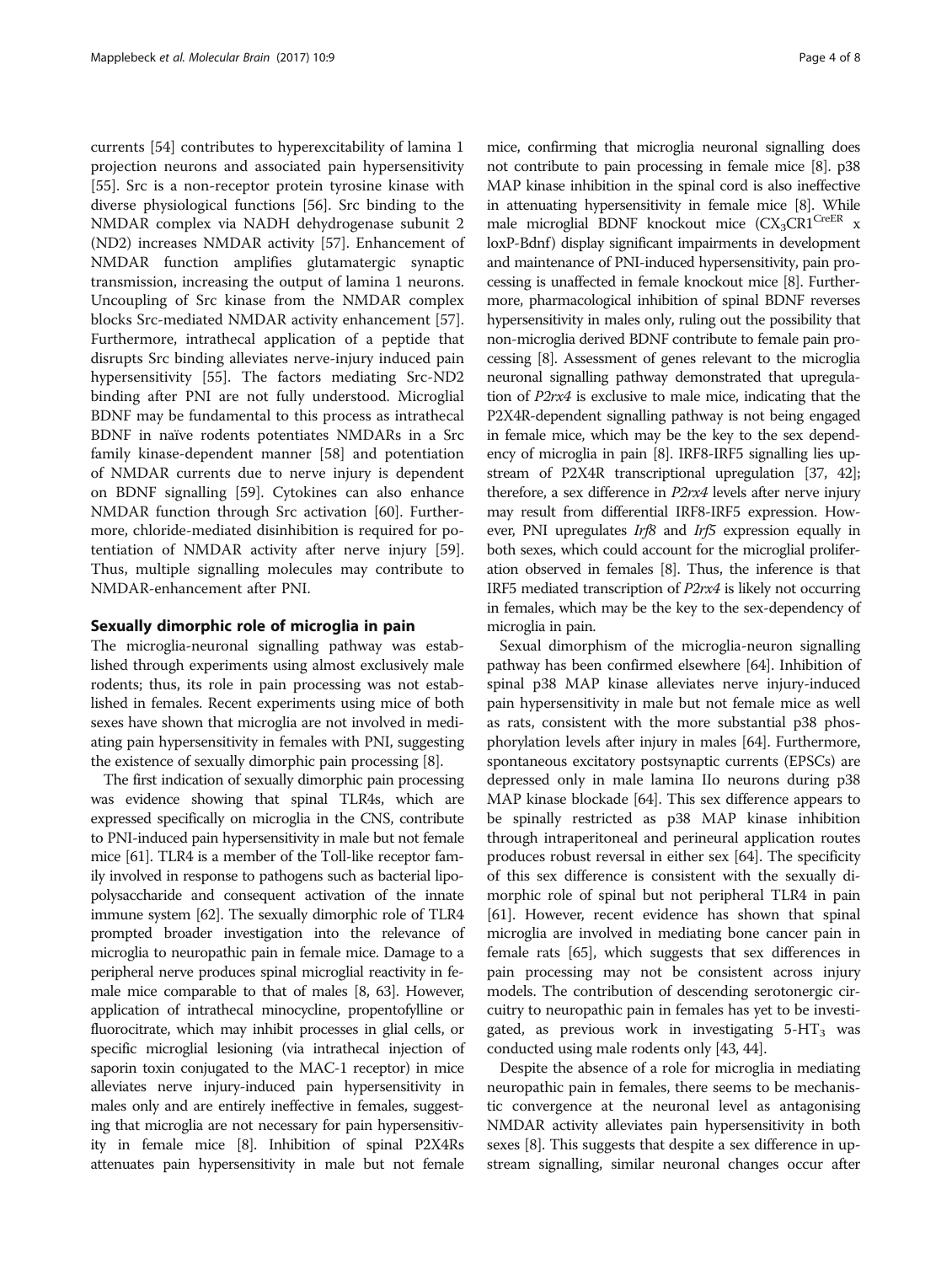currents [[54\]](#page-6-0) contributes to hyperexcitability of lamina 1 projection neurons and associated pain hypersensitivity [[55\]](#page-6-0). Src is a non-receptor protein tyrosine kinase with diverse physiological functions [\[56](#page-6-0)]. Src binding to the NMDAR complex via NADH dehydrogenase subunit 2 (ND2) increases NMDAR activity [[57\]](#page-6-0). Enhancement of NMDAR function amplifies glutamatergic synaptic transmission, increasing the output of lamina 1 neurons. Uncoupling of Src kinase from the NMDAR complex blocks Src-mediated NMDAR activity enhancement [\[57](#page-6-0)]. Furthermore, intrathecal application of a peptide that disrupts Src binding alleviates nerve-injury induced pain hypersensitivity [[55](#page-6-0)]. The factors mediating Src-ND2 binding after PNI are not fully understood. Microglial BDNF may be fundamental to this process as intrathecal BDNF in naïve rodents potentiates NMDARs in a Src family kinase-dependent manner [[58\]](#page-6-0) and potentiation of NMDAR currents due to nerve injury is dependent on BDNF signalling [\[59](#page-7-0)]. Cytokines can also enhance NMDAR function through Src activation [\[60\]](#page-7-0). Furthermore, chloride-mediated disinhibition is required for potentiation of NMDAR activity after nerve injury [\[59](#page-7-0)]. Thus, multiple signalling molecules may contribute to NMDAR-enhancement after PNI.

## Sexually dimorphic role of microglia in pain

The microglia-neuronal signalling pathway was established through experiments using almost exclusively male rodents; thus, its role in pain processing was not established in females. Recent experiments using mice of both sexes have shown that microglia are not involved in mediating pain hypersensitivity in females with PNI, suggesting the existence of sexually dimorphic pain processing [[8](#page-5-0)].

The first indication of sexually dimorphic pain processing was evidence showing that spinal TLR4s, which are expressed specifically on microglia in the CNS, contribute to PNI-induced pain hypersensitivity in male but not female mice [\[61\]](#page-7-0). TLR4 is a member of the Toll-like receptor family involved in response to pathogens such as bacterial lipopolysaccharide and consequent activation of the innate immune system [\[62\]](#page-7-0). The sexually dimorphic role of TLR4 prompted broader investigation into the relevance of microglia to neuropathic pain in female mice. Damage to a peripheral nerve produces spinal microglial reactivity in female mice comparable to that of males [[8](#page-5-0), [63\]](#page-7-0). However, application of intrathecal minocycline, propentofylline or fluorocitrate, which may inhibit processes in glial cells, or specific microglial lesioning (via intrathecal injection of saporin toxin conjugated to the MAC-1 receptor) in mice alleviates nerve injury-induced pain hypersensitivity in males only and are entirely ineffective in females, suggesting that microglia are not necessary for pain hypersensitivity in female mice [\[8\]](#page-5-0). Inhibition of spinal P2X4Rs attenuates pain hypersensitivity in male but not female

mice, confirming that microglia neuronal signalling does not contribute to pain processing in female mice [\[8](#page-5-0)]. p38 MAP kinase inhibition in the spinal cord is also ineffective in attenuating hypersensitivity in female mice [\[8\]](#page-5-0). While male microglial BDNF knockout mice  $(CX_3CR1^{CreER}$  x loxP-Bdnf) display significant impairments in development and maintenance of PNI-induced hypersensitivity, pain processing is unaffected in female knockout mice [\[8\]](#page-5-0). Furthermore, pharmacological inhibition of spinal BDNF reverses hypersensitivity in males only, ruling out the possibility that non-microglia derived BDNF contribute to female pain processing [\[8\]](#page-5-0). Assessment of genes relevant to the microglia neuronal signalling pathway demonstrated that upregulation of P2rx4 is exclusive to male mice, indicating that the P2X4R-dependent signalling pathway is not being engaged in female mice, which may be the key to the sex dependency of microglia in pain [\[8](#page-5-0)]. IRF8-IRF5 signalling lies upstream of P2X4R transcriptional upregulation [\[37, 42](#page-6-0)]; therefore, a sex difference in P2rx4 levels after nerve injury may result from differential IRF8-IRF5 expression. However, PNI upregulates Irf8 and Irf5 expression equally in both sexes, which could account for the microglial proliferation observed in females [\[8\]](#page-5-0). Thus, the inference is that IRF5 mediated transcription of P2rx4 is likely not occurring in females, which may be the key to the sex-dependency of microglia in pain.

Sexual dimorphism of the microglia-neuron signalling pathway has been confirmed elsewhere [[64](#page-7-0)]. Inhibition of spinal p38 MAP kinase alleviates nerve injury-induced pain hypersensitivity in male but not female mice as well as rats, consistent with the more substantial p38 phosphorylation levels after injury in males [\[64\]](#page-7-0). Furthermore, spontaneous excitatory postsynaptic currents (EPSCs) are depressed only in male lamina IIo neurons during p38 MAP kinase blockade [\[64\]](#page-7-0). This sex difference appears to be spinally restricted as p38 MAP kinase inhibition through intraperitoneal and perineural application routes produces robust reversal in either sex [\[64\]](#page-7-0). The specificity of this sex difference is consistent with the sexually dimorphic role of spinal but not peripheral TLR4 in pain [[61](#page-7-0)]. However, recent evidence has shown that spinal microglia are involved in mediating bone cancer pain in female rats [\[65](#page-7-0)], which suggests that sex differences in pain processing may not be consistent across injury models. The contribution of descending serotonergic circuitry to neuropathic pain in females has yet to be investigated, as previous work in investigating  $5-HT_3$  was conducted using male rodents only [[43](#page-6-0), [44\]](#page-6-0).

Despite the absence of a role for microglia in mediating neuropathic pain in females, there seems to be mechanistic convergence at the neuronal level as antagonising NMDAR activity alleviates pain hypersensitivity in both sexes [\[8](#page-5-0)]. This suggests that despite a sex difference in upstream signalling, similar neuronal changes occur after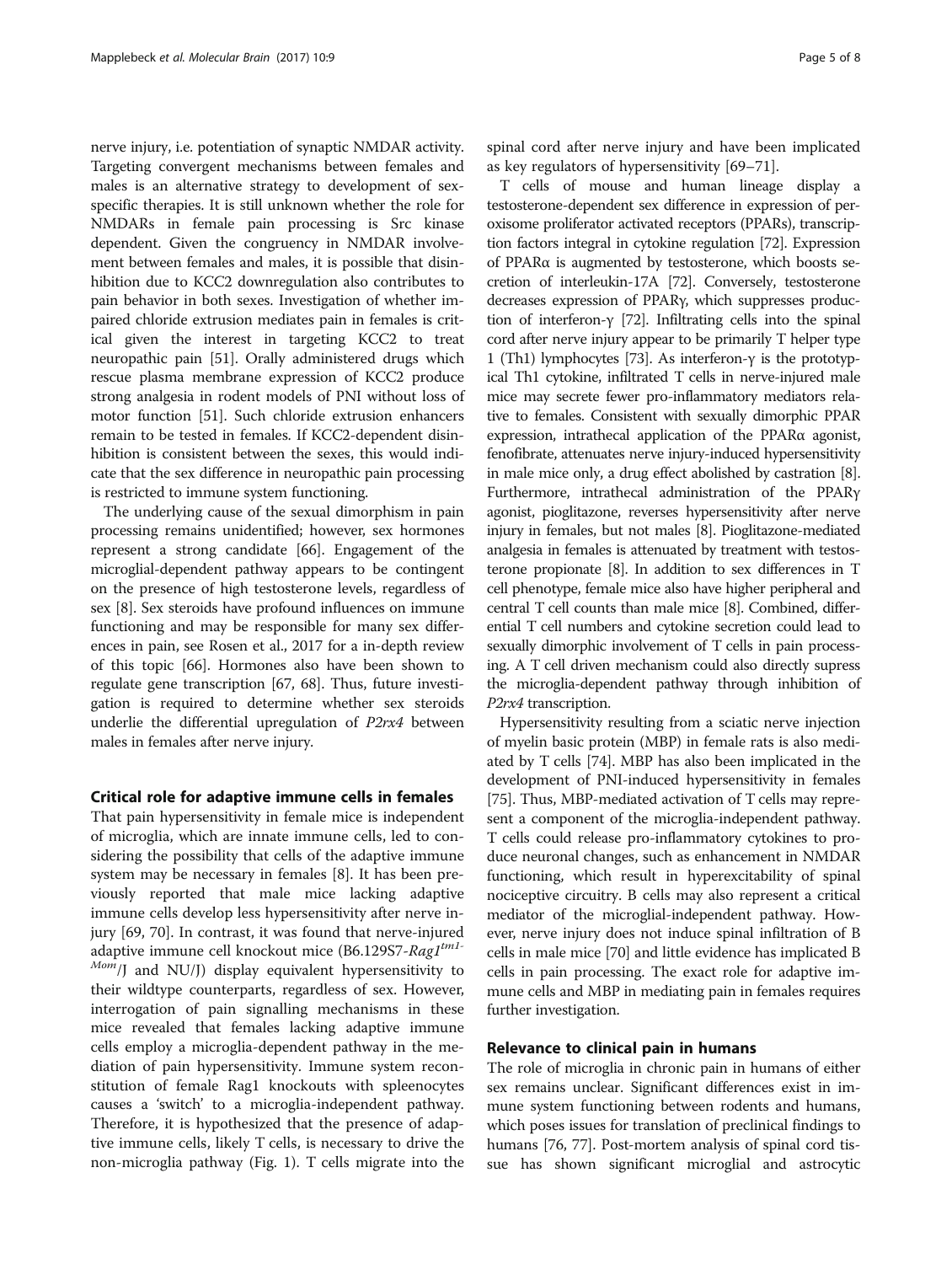nerve injury, i.e. potentiation of synaptic NMDAR activity. Targeting convergent mechanisms between females and males is an alternative strategy to development of sexspecific therapies. It is still unknown whether the role for NMDARs in female pain processing is Src kinase dependent. Given the congruency in NMDAR involvement between females and males, it is possible that disinhibition due to KCC2 downregulation also contributes to pain behavior in both sexes. Investigation of whether impaired chloride extrusion mediates pain in females is critical given the interest in targeting KCC2 to treat neuropathic pain [\[51\]](#page-6-0). Orally administered drugs which rescue plasma membrane expression of KCC2 produce strong analgesia in rodent models of PNI without loss of motor function [\[51\]](#page-6-0). Such chloride extrusion enhancers remain to be tested in females. If KCC2-dependent disinhibition is consistent between the sexes, this would indicate that the sex difference in neuropathic pain processing is restricted to immune system functioning.

The underlying cause of the sexual dimorphism in pain processing remains unidentified; however, sex hormones represent a strong candidate [\[66](#page-7-0)]. Engagement of the microglial-dependent pathway appears to be contingent on the presence of high testosterone levels, regardless of sex [\[8](#page-5-0)]. Sex steroids have profound influences on immune functioning and may be responsible for many sex differences in pain, see Rosen et al., 2017 for a in-depth review of this topic [[66](#page-7-0)]. Hormones also have been shown to regulate gene transcription [[67](#page-7-0), [68\]](#page-7-0). Thus, future investigation is required to determine whether sex steroids underlie the differential upregulation of P2rx4 between males in females after nerve injury.

### Critical role for adaptive immune cells in females

That pain hypersensitivity in female mice is independent of microglia, which are innate immune cells, led to considering the possibility that cells of the adaptive immune system may be necessary in females [[8\]](#page-5-0). It has been previously reported that male mice lacking adaptive immune cells develop less hypersensitivity after nerve injury [[69, 70\]](#page-7-0). In contrast, it was found that nerve-injured adaptive immune cell knockout mice (B6.129S7-Rag1tm1- $^{Mom}$  and NU/J) display equivalent hypersensitivity to their wildtype counterparts, regardless of sex. However, interrogation of pain signalling mechanisms in these mice revealed that females lacking adaptive immune cells employ a microglia-dependent pathway in the mediation of pain hypersensitivity. Immune system reconstitution of female Rag1 knockouts with spleenocytes causes a 'switch' to a microglia-independent pathway. Therefore, it is hypothesized that the presence of adaptive immune cells, likely T cells, is necessary to drive the non-microglia pathway (Fig. [1](#page-2-0)). T cells migrate into the spinal cord after nerve injury and have been implicated as key regulators of hypersensitivity [[69](#page-7-0)–[71](#page-7-0)].

T cells of mouse and human lineage display a testosterone-dependent sex difference in expression of peroxisome proliferator activated receptors (PPARs), transcription factors integral in cytokine regulation [\[72\]](#page-7-0). Expression of PPARα is augmented by testosterone, which boosts secretion of interleukin-17A [\[72](#page-7-0)]. Conversely, testosterone decreases expression of PPARγ, which suppresses production of interferon-γ [[72](#page-7-0)]. Infiltrating cells into the spinal cord after nerve injury appear to be primarily T helper type 1 (Th1) lymphocytes [\[73](#page-7-0)]. As interferon-γ is the prototypical Th1 cytokine, infiltrated T cells in nerve-injured male mice may secrete fewer pro-inflammatory mediators relative to females. Consistent with sexually dimorphic PPAR expression, intrathecal application of the PPARα agonist, fenofibrate, attenuates nerve injury-induced hypersensitivity in male mice only, a drug effect abolished by castration [[8](#page-5-0)]. Furthermore, intrathecal administration of the PPARγ agonist, pioglitazone, reverses hypersensitivity after nerve injury in females, but not males [\[8](#page-5-0)]. Pioglitazone-mediated analgesia in females is attenuated by treatment with testosterone propionate [\[8](#page-5-0)]. In addition to sex differences in T cell phenotype, female mice also have higher peripheral and central T cell counts than male mice [[8\]](#page-5-0). Combined, differential T cell numbers and cytokine secretion could lead to sexually dimorphic involvement of T cells in pain processing. A T cell driven mechanism could also directly supress the microglia-dependent pathway through inhibition of P2rx4 transcription.

Hypersensitivity resulting from a sciatic nerve injection of myelin basic protein (MBP) in female rats is also mediated by T cells [\[74\]](#page-7-0). MBP has also been implicated in the development of PNI-induced hypersensitivity in females [[75](#page-7-0)]. Thus, MBP-mediated activation of T cells may represent a component of the microglia-independent pathway. T cells could release pro-inflammatory cytokines to produce neuronal changes, such as enhancement in NMDAR functioning, which result in hyperexcitability of spinal nociceptive circuitry. B cells may also represent a critical mediator of the microglial-independent pathway. However, nerve injury does not induce spinal infiltration of B cells in male mice [[70](#page-7-0)] and little evidence has implicated B cells in pain processing. The exact role for adaptive immune cells and MBP in mediating pain in females requires further investigation.

### Relevance to clinical pain in humans

The role of microglia in chronic pain in humans of either sex remains unclear. Significant differences exist in immune system functioning between rodents and humans, which poses issues for translation of preclinical findings to humans [\[76, 77\]](#page-7-0). Post-mortem analysis of spinal cord tissue has shown significant microglial and astrocytic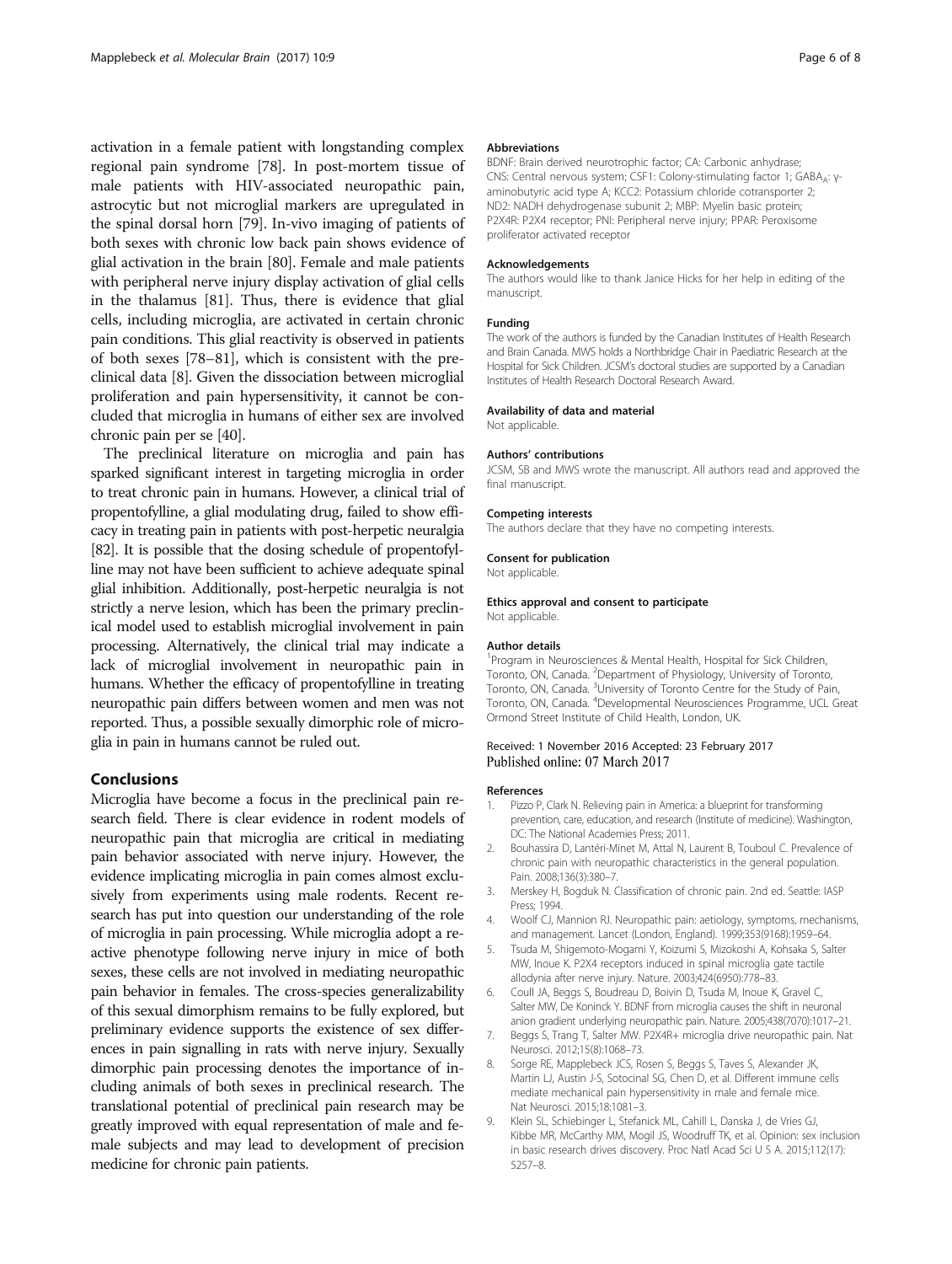<span id="page-5-0"></span>activation in a female patient with longstanding complex regional pain syndrome [\[78\]](#page-7-0). In post-mortem tissue of male patients with HIV-associated neuropathic pain, astrocytic but not microglial markers are upregulated in the spinal dorsal horn [\[79\]](#page-7-0). In-vivo imaging of patients of both sexes with chronic low back pain shows evidence of glial activation in the brain [\[80\]](#page-7-0). Female and male patients with peripheral nerve injury display activation of glial cells in the thalamus [[81\]](#page-7-0). Thus, there is evidence that glial cells, including microglia, are activated in certain chronic pain conditions. This glial reactivity is observed in patients of both sexes [\[78](#page-7-0)–[81](#page-7-0)], which is consistent with the preclinical data [8]. Given the dissociation between microglial proliferation and pain hypersensitivity, it cannot be concluded that microglia in humans of either sex are involved chronic pain per se [[40](#page-6-0)].

The preclinical literature on microglia and pain has sparked significant interest in targeting microglia in order to treat chronic pain in humans. However, a clinical trial of propentofylline, a glial modulating drug, failed to show efficacy in treating pain in patients with post-herpetic neuralgia [[82](#page-7-0)]. It is possible that the dosing schedule of propentofylline may not have been sufficient to achieve adequate spinal glial inhibition. Additionally, post-herpetic neuralgia is not strictly a nerve lesion, which has been the primary preclinical model used to establish microglial involvement in pain processing. Alternatively, the clinical trial may indicate a lack of microglial involvement in neuropathic pain in humans. Whether the efficacy of propentofylline in treating neuropathic pain differs between women and men was not reported. Thus, a possible sexually dimorphic role of microglia in pain in humans cannot be ruled out.

# Conclusions

Microglia have become a focus in the preclinical pain research field. There is clear evidence in rodent models of neuropathic pain that microglia are critical in mediating pain behavior associated with nerve injury. However, the evidence implicating microglia in pain comes almost exclusively from experiments using male rodents. Recent research has put into question our understanding of the role of microglia in pain processing. While microglia adopt a reactive phenotype following nerve injury in mice of both sexes, these cells are not involved in mediating neuropathic pain behavior in females. The cross-species generalizability of this sexual dimorphism remains to be fully explored, but preliminary evidence supports the existence of sex differences in pain signalling in rats with nerve injury. Sexually dimorphic pain processing denotes the importance of including animals of both sexes in preclinical research. The translational potential of preclinical pain research may be greatly improved with equal representation of male and female subjects and may lead to development of precision medicine for chronic pain patients.

#### Abbreviations

BDNF: Brain derived neurotrophic factor; CA: Carbonic anhydrase; CNS: Central nervous system; CSF1: Colony-stimulating factor 1; GABA<sub>Δ</sub>: γaminobutyric acid type A; KCC2: Potassium chloride cotransporter 2; ND2: NADH dehydrogenase subunit 2; MBP: Myelin basic protein; P2X4R: P2X4 receptor; PNI: Peripheral nerve injury; PPAR: Peroxisome proliferator activated receptor

#### Acknowledgements

The authors would like to thank Janice Hicks for her help in editing of the manuscript.

#### Funding

The work of the authors is funded by the Canadian Institutes of Health Research and Brain Canada. MWS holds a Northbridge Chair in Paediatric Research at the Hospital for Sick Children. JCSM's doctoral studies are supported by a Canadian Institutes of Health Research Doctoral Research Award.

#### Availability of data and material

Not applicable.

#### Authors' contributions

JCSM, SB and MWS wrote the manuscript. All authors read and approved the final manuscript.

#### Competing interests

The authors declare that they have no competing interests.

#### Consent for publication

Not applicable

#### Ethics approval and consent to participate

Not applicable.

#### Author details

<sup>1</sup> Program in Neurosciences & Mental Health, Hospital for Sick Children, Toronto, ON, Canada. <sup>2</sup>Department of Physiology, University of Toronto, Toronto, ON, Canada. <sup>3</sup>University of Toronto Centre for the Study of Pain Toronto, ON, Canada. <sup>4</sup> Developmental Neurosciences Programme, UCL Great Ormond Street Institute of Child Health, London, UK.

#### Received: 1 November 2016 Accepted: 23 February 2017 Published online: 07 March 2017

#### References

- 1. Pizzo P, Clark N. Relieving pain in America: a blueprint for transforming prevention, care, education, and research (Institute of medicine). Washington, DC: The National Academies Press; 2011.
- 2. Bouhassira D, Lantéri-Minet M, Attal N, Laurent B, Touboul C. Prevalence of chronic pain with neuropathic characteristics in the general population. Pain. 2008;136(3):380–7.
- 3. Merskey H, Bogduk N. Classification of chronic pain. 2nd ed. Seattle: IASP Press; 1994.
- 4. Woolf CJ, Mannion RJ. Neuropathic pain: aetiology, symptoms, mechanisms, and management. Lancet (London, England). 1999;353(9168):1959–64.
- 5. Tsuda M, Shigemoto-Mogami Y, Koizumi S, Mizokoshi A, Kohsaka S, Salter MW, Inoue K. P2X4 receptors induced in spinal microglia gate tactile allodynia after nerve injury. Nature. 2003;424(6950):778–83.
- 6. Coull JA, Beggs S, Boudreau D, Boivin D, Tsuda M, Inoue K, Gravel C, Salter MW, De Koninck Y. BDNF from microglia causes the shift in neuronal anion gradient underlying neuropathic pain. Nature. 2005;438(7070):1017–21.
- 7. Beggs S, Trang T, Salter MW. P2X4R+ microglia drive neuropathic pain. Nat Neurosci. 2012;15(8):1068–73.
- Sorge RE, Mapplebeck JCS, Rosen S, Beggs S, Taves S, Alexander JK, Martin LJ, Austin J-S, Sotocinal SG, Chen D, et al. Different immune cells mediate mechanical pain hypersensitivity in male and female mice. Nat Neurosci. 2015;18:1081–3.
- 9. Klein SL, Schiebinger L, Stefanick ML, Cahill L, Danska J, de Vries GJ, Kibbe MR, McCarthy MM, Mogil JS, Woodruff TK, et al. Opinion: sex inclusion in basic research drives discovery. Proc Natl Acad Sci U S A. 2015;112(17): 5257–8.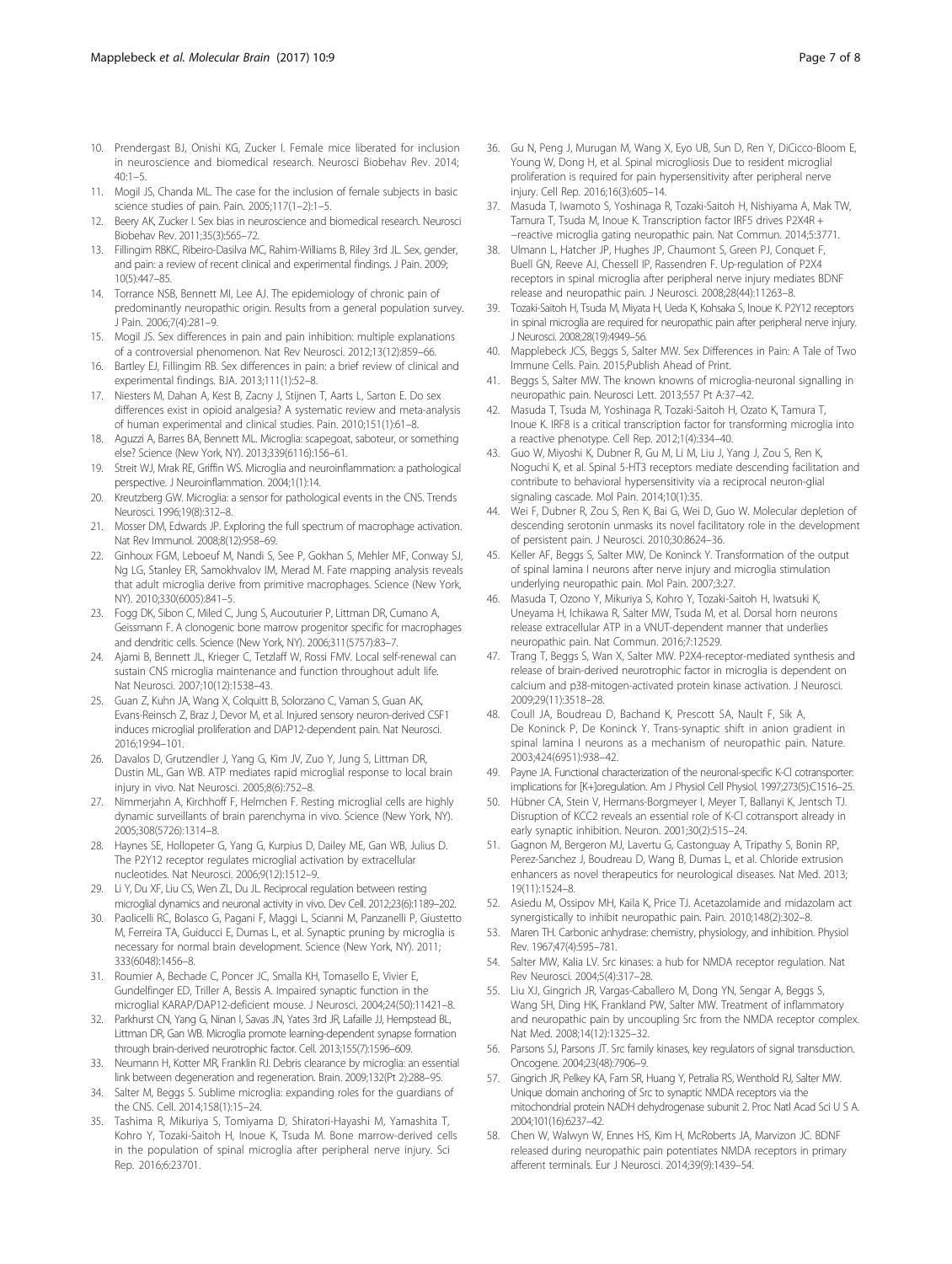- <span id="page-6-0"></span>10. Prendergast BJ, Onishi KG, Zucker I. Female mice liberated for inclusion in neuroscience and biomedical research. Neurosci Biobehav Rev. 2014;  $40:1-5$ .
- 11. Mogil JS, Chanda ML. The case for the inclusion of female subjects in basic science studies of pain. Pain. 2005;117(1–2):1–5.
- 12. Beery AK, Zucker I. Sex bias in neuroscience and biomedical research. Neurosci Biobehav Rev. 2011;35(3):565–72.
- 13. Fillingim RBKC, Ribeiro-Dasilva MC, Rahim-Williams B, Riley 3rd JL. Sex, gender, and pain: a review of recent clinical and experimental findings. J Pain. 2009; 10(5):447–85.
- 14. Torrance NSB, Bennett MI, Lee AJ. The epidemiology of chronic pain of predominantly neuropathic origin. Results from a general population survey. J Pain. 2006;7(4):281–9.
- 15. Mogil JS. Sex differences in pain and pain inhibition: multiple explanations of a controversial phenomenon. Nat Rev Neurosci. 2012;13(12):859–66.
- 16. Bartley EJ, Fillingim RB. Sex differences in pain: a brief review of clinical and experimental findings. BJA. 2013;111(1):52–8.
- 17. Niesters M, Dahan A, Kest B, Zacny J, Stijnen T, Aarts L, Sarton E. Do sex differences exist in opioid analgesia? A systematic review and meta-analysis of human experimental and clinical studies. Pain. 2010;151(1):61–8.
- 18. Aguzzi A, Barres BA, Bennett ML. Microglia: scapegoat, saboteur, or something else? Science (New York, NY). 2013;339(6116):156–61.
- 19. Streit WJ, Mrak RE, Griffin WS. Microglia and neuroinflammation: a pathological perspective. J Neuroinflammation. 2004;1(1):14.
- 20. Kreutzberg GW. Microglia: a sensor for pathological events in the CNS. Trends Neurosci. 1996;19(8):312–8.
- 21. Mosser DM, Edwards JP. Exploring the full spectrum of macrophage activation. Nat Rev Immunol. 2008;8(12):958–69.
- 22. Ginhoux FGM, Leboeuf M, Nandi S, See P, Gokhan S, Mehler MF, Conway SJ, Ng LG, Stanley ER, Samokhvalov IM, Merad M. Fate mapping analysis reveals that adult microglia derive from primitive macrophages. Science (New York, NY). 2010;330(6005):841–5.
- 23. Fogg DK, Sibon C, Miled C, Jung S, Aucouturier P, Littman DR, Cumano A, Geissmann F. A clonogenic bone marrow progenitor specific for macrophages and dendritic cells. Science (New York, NY). 2006;311(5757):83–7.
- 24. Ajami B, Bennett JL, Krieger C, Tetzlaff W, Rossi FMV. Local self-renewal can sustain CNS microglia maintenance and function throughout adult life. Nat Neurosci. 2007;10(12):1538–43.
- 25. Guan Z, Kuhn JA, Wang X, Colquitt B, Solorzano C, Vaman S, Guan AK, Evans-Reinsch Z, Braz J, Devor M, et al. Injured sensory neuron-derived CSF1 induces microglial proliferation and DAP12-dependent pain. Nat Neurosci. 2016;19:94–101.
- 26. Davalos D, Grutzendler J, Yang G, Kim JV, Zuo Y, Jung S, Littman DR, Dustin ML, Gan WB. ATP mediates rapid microglial response to local brain injury in vivo. Nat Neurosci. 2005;8(6):752–8.
- 27. Nimmerjahn A, Kirchhoff F, Helmchen F. Resting microglial cells are highly dynamic surveillants of brain parenchyma in vivo. Science (New York, NY). 2005;308(5726):1314–8.
- 28. Haynes SE, Hollopeter G, Yang G, Kurpius D, Dailey ME, Gan WB, Julius D. The P2Y12 receptor regulates microglial activation by extracellular nucleotides. Nat Neurosci. 2006;9(12):1512–9.
- 29. Li Y, Du XF, Liu CS, Wen ZL, Du JL. Reciprocal regulation between resting microglial dynamics and neuronal activity in vivo. Dev Cell. 2012;23(6):1189–202.
- 30. Paolicelli RC, Bolasco G, Pagani F, Maggi L, Scianni M, Panzanelli P, Giustetto M, Ferreira TA, Guiducci E, Dumas L, et al. Synaptic pruning by microglia is necessary for normal brain development. Science (New York, NY). 2011; 333(6048):1456–8.
- 31. Roumier A, Bechade C, Poncer JC, Smalla KH, Tomasello E, Vivier E, Gundelfinger ED, Triller A, Bessis A. Impaired synaptic function in the microglial KARAP/DAP12-deficient mouse. J Neurosci. 2004;24(50):11421–8.
- 32. Parkhurst CN, Yang G, Ninan I, Savas JN, Yates 3rd JR, Lafaille JJ, Hempstead BL, Littman DR, Gan WB. Microglia promote learning-dependent synapse formation through brain-derived neurotrophic factor. Cell. 2013;155(7):1596–609.
- 33. Neumann H, Kotter MR, Franklin RJ. Debris clearance by microglia: an essential link between degeneration and regeneration. Brain. 2009;132(Pt 2):288–95.
- 34. Salter M, Beggs S. Sublime microglia: expanding roles for the guardians of the CNS. Cell. 2014;158(1):15–24.
- 35. Tashima R, Mikuriya S, Tomiyama D, Shiratori-Hayashi M, Yamashita T, Kohro Y, Tozaki-Saitoh H, Inoue K, Tsuda M. Bone marrow-derived cells in the population of spinal microglia after peripheral nerve injury. Sci Rep. 2016;6:23701.
- 36. Gu N, Peng J, Murugan M, Wang X, Eyo UB, Sun D, Ren Y, DiCicco-Bloom E, Young W, Dong H, et al. Spinal microgliosis Due to resident microglial proliferation is required for pain hypersensitivity after peripheral nerve injury. Cell Rep. 2016;16(3):605–14.
- 37. Masuda T, Iwamoto S, Yoshinaga R, Tozaki-Saitoh H, Nishiyama A, Mak TW, Tamura T, Tsuda M, Inoue K. Transcription factor IRF5 drives P2X4R + −reactive microglia gating neuropathic pain. Nat Commun. 2014;5:3771.
- 38. Ulmann L, Hatcher JP, Hughes JP, Chaumont S, Green PJ, Conquet F, Buell GN, Reeve AJ, Chessell IP, Rassendren F. Up-regulation of P2X4 receptors in spinal microglia after peripheral nerve injury mediates BDNF release and neuropathic pain. J Neurosci. 2008;28(44):11263–8.
- 39. Tozaki-Saitoh H, Tsuda M, Miyata H, Ueda K, Kohsaka S, Inoue K. P2Y12 receptors in spinal microglia are required for neuropathic pain after peripheral nerve injury. J Neurosci. 2008;28(19):4949–56.
- 40. Mapplebeck JCS, Beggs S, Salter MW. Sex Differences in Pain: A Tale of Two Immune Cells. Pain. 2015;Publish Ahead of Print.
- 41. Beggs S, Salter MW. The known knowns of microglia-neuronal signalling in neuropathic pain. Neurosci Lett. 2013;557 Pt A:37–42.
- 42. Masuda T, Tsuda M, Yoshinaga R, Tozaki-Saitoh H, Ozato K, Tamura T, Inoue K. IRF8 is a critical transcription factor for transforming microglia into a reactive phenotype. Cell Rep. 2012;1(4):334–40.
- 43. Guo W, Miyoshi K, Dubner R, Gu M, Li M, Liu J, Yang J, Zou S, Ren K, Noguchi K, et al. Spinal 5-HT3 receptors mediate descending facilitation and contribute to behavioral hypersensitivity via a reciprocal neuron-glial signaling cascade. Mol Pain. 2014;10(1):35.
- 44. Wei F, Dubner R, Zou S, Ren K, Bai G, Wei D, Guo W. Molecular depletion of descending serotonin unmasks its novel facilitatory role in the development of persistent pain. J Neurosci. 2010;30:8624–36.
- 45. Keller AF, Beggs S, Salter MW, De Koninck Y. Transformation of the output of spinal lamina I neurons after nerve injury and microglia stimulation underlying neuropathic pain. Mol Pain. 2007;3:27.
- 46. Masuda T, Ozono Y, Mikuriya S, Kohro Y, Tozaki-Saitoh H, Iwatsuki K, Uneyama H, Ichikawa R, Salter MW, Tsuda M, et al. Dorsal horn neurons release extracellular ATP in a VNUT-dependent manner that underlies neuropathic pain. Nat Commun. 2016;7:12529.
- 47. Trang T, Beggs S, Wan X, Salter MW. P2X4-receptor-mediated synthesis and release of brain-derived neurotrophic factor in microglia is dependent on calcium and p38-mitogen-activated protein kinase activation. J Neurosci. 2009;29(11):3518–28.
- 48. Coull JA, Boudreau D, Bachand K, Prescott SA, Nault F, Sik A, De Koninck P, De Koninck Y. Trans-synaptic shift in anion gradient in spinal lamina I neurons as a mechanism of neuropathic pain. Nature. 2003;424(6951):938–42.
- 49. Payne JA. Functional characterization of the neuronal-specific K-Cl cotransporter: implications for [K+]oregulation. Am J Physiol Cell Physiol. 1997;273(5):C1516–25.
- 50. Hübner CA, Stein V, Hermans-Borgmeyer I, Meyer T, Ballanyi K, Jentsch TJ. Disruption of KCC2 reveals an essential role of K-Cl cotransport already in early synaptic inhibition. Neuron. 2001;30(2):515–24.
- 51. Gagnon M, Bergeron MJ, Lavertu G, Castonguay A, Tripathy S, Bonin RP, Perez-Sanchez J, Boudreau D, Wang B, Dumas L, et al. Chloride extrusion enhancers as novel therapeutics for neurological diseases. Nat Med. 2013; 19(11):1524–8.
- 52. Asiedu M, Ossipov MH, Kaila K, Price TJ. Acetazolamide and midazolam act synergistically to inhibit neuropathic pain. Pain. 2010;148(2):302–8.
- 53. Maren TH. Carbonic anhydrase: chemistry, physiology, and inhibition. Physiol Rev. 1967;47(4):595–781.
- 54. Salter MW, Kalia LV. Src kinases: a hub for NMDA receptor regulation. Nat Rev Neurosci. 2004;5(4):317–28.
- 55. Liu XJ, Gingrich JR, Vargas-Caballero M, Dong YN, Sengar A, Beggs S, Wang SH, Ding HK, Frankland PW, Salter MW. Treatment of inflammatory and neuropathic pain by uncoupling Src from the NMDA receptor complex. Nat Med. 2008;14(12):1325–32.
- 56. Parsons SJ, Parsons JT. Src family kinases, key regulators of signal transduction. Oncogene. 2004;23(48):7906–9.
- 57. Gingrich JR, Pelkey KA, Fam SR, Huang Y, Petralia RS, Wenthold RJ, Salter MW. Unique domain anchoring of Src to synaptic NMDA receptors via the mitochondrial protein NADH dehydrogenase subunit 2. Proc Natl Acad Sci U S A. 2004;101(16):6237–42.
- 58. Chen W, Walwyn W, Ennes HS, Kim H, McRoberts JA, Marvizon JC. BDNF released during neuropathic pain potentiates NMDA receptors in primary afferent terminals. Eur J Neurosci. 2014;39(9):1439–54.